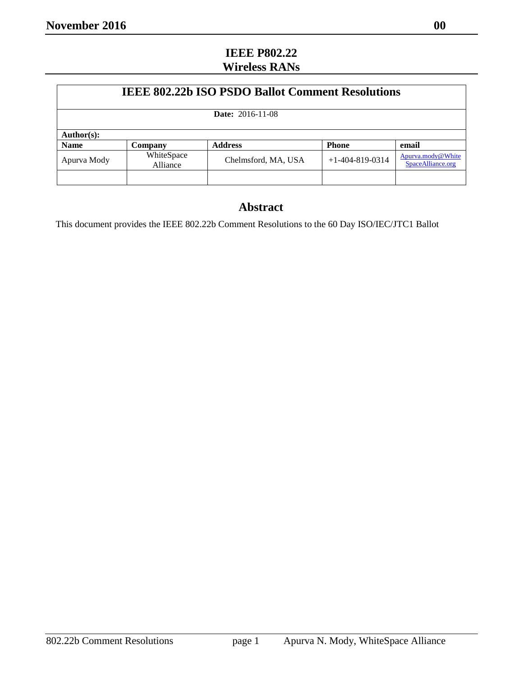## **IEEE P802.22 Wireless RANs**

| <b>IEEE 802.22b ISO PSDO Ballot Comment Resolutions</b><br><b>Date:</b> 2016-11-08<br>Author(s): |  |  |  |  |             |                        |                     |                   |                                        |
|--------------------------------------------------------------------------------------------------|--|--|--|--|-------------|------------------------|---------------------|-------------------|----------------------------------------|
|                                                                                                  |  |  |  |  | <b>Name</b> | Company                | <b>Address</b>      | <b>Phone</b>      | email                                  |
|                                                                                                  |  |  |  |  | Apurva Mody | WhiteSpace<br>Alliance | Chelmsford, MA, USA | $+1-404-819-0314$ | Apurva.mody@White<br>SpaceAlliance.org |
|                                                                                                  |  |  |  |  |             |                        |                     |                   |                                        |

## **Abstract**

This document provides the IEEE 802.22b Comment Resolutions to the 60 Day ISO/IEC/JTC1 Ballot